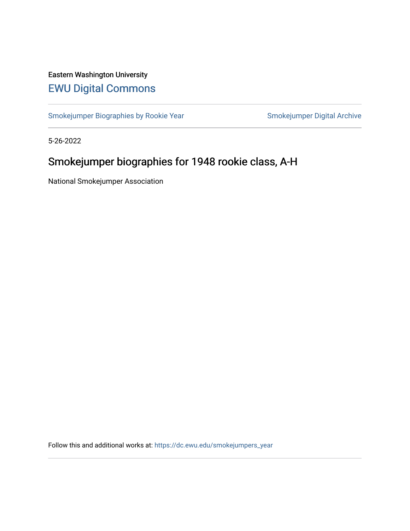# Eastern Washington University [EWU Digital Commons](https://dc.ewu.edu/)

[Smokejumper Biographies by Rookie Year](https://dc.ewu.edu/smokejumpers_year) Smokejumper Digital Archive

5-26-2022

# Smokejumper biographies for 1948 rookie class, A-H

National Smokejumper Association

Follow this and additional works at: [https://dc.ewu.edu/smokejumpers\\_year](https://dc.ewu.edu/smokejumpers_year?utm_source=dc.ewu.edu%2Fsmokejumpers_year%2F19&utm_medium=PDF&utm_campaign=PDFCoverPages)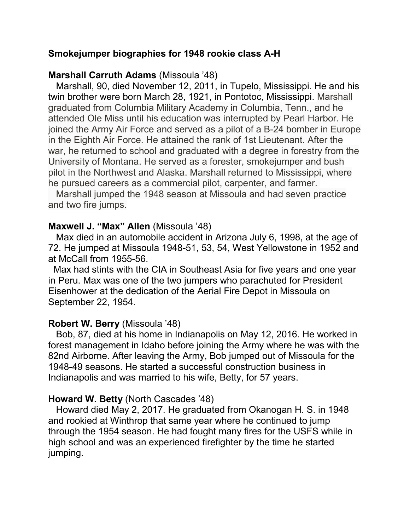# **Smokejumper biographies for 1948 rookie class A-H**

# **Marshall Carruth Adams** (Missoula '48)

 Marshall, 90, died November 12, 2011, in Tupelo, Mississippi. He and his twin brother were born March 28, 1921, in Pontotoc, Mississippi. Marshall graduated from Columbia Military Academy in Columbia, Tenn., and he attended Ole Miss until his education was interrupted by Pearl Harbor. He joined the Army Air Force and served as a pilot of a B-24 bomber in Europe in the Eighth Air Force. He attained the rank of 1st Lieutenant. After the war, he returned to school and graduated with a degree in forestry from the University of Montana. He served as a forester, smokejumper and bush pilot in the Northwest and Alaska. Marshall returned to Mississippi, where he pursued careers as a commercial pilot, carpenter, and farmer.

 Marshall jumped the 1948 season at Missoula and had seven practice and two fire jumps.

### **Maxwell J. "Max" Allen** (Missoula '48)

 Max died in an automobile accident in Arizona July 6, 1998, at the age of 72. He jumped at Missoula 1948-51, 53, 54, West Yellowstone in 1952 and at McCall from 1955-56.

 Max had stints with the CIA in Southeast Asia for five years and one year in Peru. Max was one of the two jumpers who parachuted for President Eisenhower at the dedication of the Aerial Fire Depot in Missoula on September 22, 1954.

# **Robert W. Berry** (Missoula '48)

 Bob, 87, died at his home in Indianapolis on May 12, 2016. He worked in forest management in Idaho before joining the Army where he was with the 82nd Airborne. After leaving the Army, Bob jumped out of Missoula for the 1948-49 seasons. He started a successful construction business in Indianapolis and was married to his wife, Betty, for 57 years.

# **Howard W. Betty** (North Cascades '48)

 Howard died May 2, 2017. He graduated from Okanogan H. S. in 1948 and rookied at Winthrop that same year where he continued to jump through the 1954 season. He had fought many fires for the USFS while in high school and was an experienced firefighter by the time he started jumping.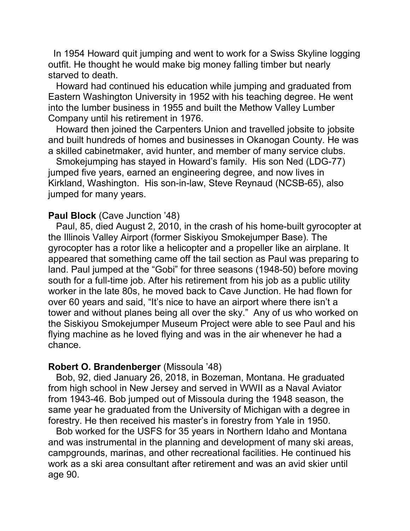In 1954 Howard quit jumping and went to work for a Swiss Skyline logging outfit. He thought he would make big money falling timber but nearly starved to death.

 Howard had continued his education while jumping and graduated from Eastern Washington University in 1952 with his teaching degree. He went into the lumber business in 1955 and built the Methow Valley Lumber Company until his retirement in 1976.

 Howard then joined the Carpenters Union and travelled jobsite to jobsite and built hundreds of homes and businesses in Okanogan County. He was a skilled cabinetmaker, avid hunter, and member of many service clubs.

 Smokejumping has stayed in Howard's family. His son Ned (LDG-77) jumped five years, earned an engineering degree, and now lives in Kirkland, Washington. His son-in-law, Steve Reynaud (NCSB-65), also jumped for many years.

#### **Paul Block** (Cave Junction '48)

 Paul, 85, died August 2, 2010, in the crash of his home-built gyrocopter at the Illinois Valley Airport (former Siskiyou Smokejumper Base). The gyrocopter has a rotor like a helicopter and a propeller like an airplane. It appeared that something came off the tail section as Paul was preparing to land. Paul jumped at the "Gobi" for three seasons (1948-50) before moving south for a full-time job. After his retirement from his job as a public utility worker in the late 80s, he moved back to Cave Junction. He had flown for over 60 years and said, "It's nice to have an airport where there isn't a tower and without planes being all over the sky." Any of us who worked on the Siskiyou Smokejumper Museum Project were able to see Paul and his flying machine as he loved flying and was in the air whenever he had a chance.

### **Robert O. Brandenberger** (Missoula '48)

 Bob, 92, died January 26, 2018, in Bozeman, Montana. He graduated from high school in New Jersey and served in WWII as a Naval Aviator from 1943-46. Bob jumped out of Missoula during the 1948 season, the same year he graduated from the University of Michigan with a degree in forestry. He then received his master's in forestry from Yale in 1950.

 Bob worked for the USFS for 35 years in Northern Idaho and Montana and was instrumental in the planning and development of many ski areas, campgrounds, marinas, and other recreational facilities. He continued his work as a ski area consultant after retirement and was an avid skier until age 90.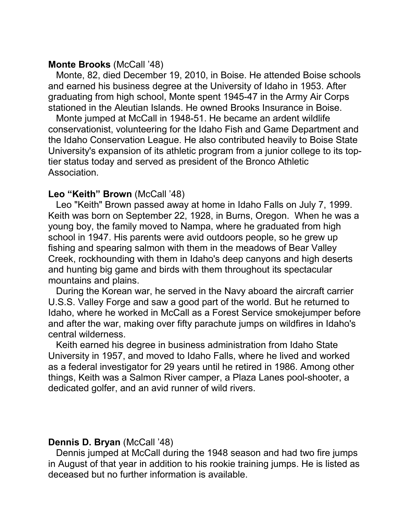#### **Monte Brooks** (McCall '48)

 Monte, 82, died December 19, 2010, in Boise. He attended Boise schools and earned his business degree at the University of Idaho in 1953. After graduating from high school, Monte spent 1945-47 in the Army Air Corps stationed in the Aleutian Islands. He owned Brooks Insurance in Boise.

 Monte jumped at McCall in 1948-51. He became an ardent wildlife conservationist, volunteering for the Idaho Fish and Game Department and the Idaho Conservation League. He also contributed heavily to Boise State University's expansion of its athletic program from a junior college to its toptier status today and served as president of the Bronco Athletic Association.

#### Leo "Keith" Brown (McCall '48)

 Leo "Keith" Brown passed away at home in Idaho Falls on July 7, 1999. Keith was born on September 22, 1928, in Burns, Oregon. When he was a young boy, the family moved to Nampa, where he graduated from high school in 1947. His parents were avid outdoors people, so he grew up fishing and spearing salmon with them in the meadows of Bear Valley Creek, rockhounding with them in Idaho's deep canyons and high deserts and hunting big game and birds with them throughout its spectacular mountains and plains.

 During the Korean war, he served in the Navy aboard the aircraft carrier U.S.S. Valley Forge and saw a good part of the world. But he returned to Idaho, where he worked in McCall as a Forest Service smokejumper before and after the war, making over fifty parachute jumps on wildfires in Idaho's central wilderness.

 Keith earned his degree in business administration from Idaho State University in 1957, and moved to Idaho Falls, where he lived and worked as a federal investigator for 29 years until he retired in 1986. Among other things, Keith was a Salmon River camper, a Plaza Lanes pool-shooter, a dedicated golfer, and an avid runner of wild rivers.

#### **Dennis D. Bryan** (McCall '48)

 Dennis jumped at McCall during the 1948 season and had two fire jumps in August of that year in addition to his rookie training jumps. He is listed as deceased but no further information is available.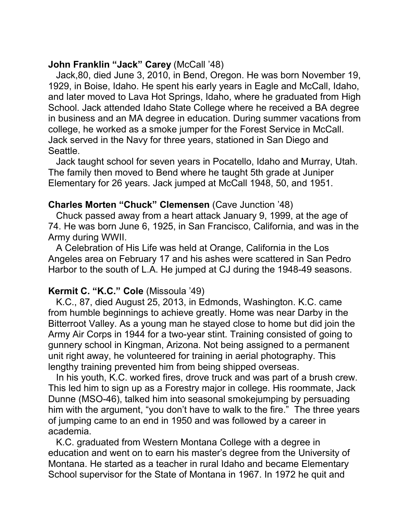# **John Franklin "Jack" Carey** (McCall '48)

 Jack,80, died June 3, 2010, in Bend, Oregon. He was born November 19, 1929, in Boise, Idaho. He spent his early years in Eagle and McCall, Idaho, and later moved to Lava Hot Springs, Idaho, where he graduated from High School. Jack attended Idaho State College where he received a BA degree in business and an MA degree in education. During summer vacations from college, he worked as a smoke jumper for the Forest Service in McCall. Jack served in the Navy for three years, stationed in San Diego and Seattle.

 Jack taught school for seven years in Pocatello, Idaho and Murray, Utah. The family then moved to Bend where he taught 5th grade at Juniper Elementary for 26 years. Jack jumped at McCall 1948, 50, and 1951.

### **Charles Morten "Chuck" Clemensen** (Cave Junction '48)

 Chuck passed away from a heart attack January 9, 1999, at the age of 74. He was born June 6, 1925, in San Francisco, California, and was in the Army during WWII.

 A Celebration of His Life was held at Orange, California in the Los Angeles area on February 17 and his ashes were scattered in San Pedro Harbor to the south of L.A. He jumped at CJ during the 1948-49 seasons.

# **Kermit C. "K.C." Cole** (Missoula '49)

 K.C., 87, died August 25, 2013, in Edmonds, Washington. K.C. came from humble beginnings to achieve greatly. Home was near Darby in the Bitterroot Valley. As a young man he stayed close to home but did join the Army Air Corps in 1944 for a two-year stint. Training consisted of going to gunnery school in Kingman, Arizona. Not being assigned to a permanent unit right away, he volunteered for training in aerial photography. This lengthy training prevented him from being shipped overseas.

 In his youth, K.C. worked fires, drove truck and was part of a brush crew. This led him to sign up as a Forestry major in college. His roommate, Jack Dunne (MSO-46), talked him into seasonal smokejumping by persuading him with the argument, "you don't have to walk to the fire." The three years of jumping came to an end in 1950 and was followed by a career in academia.

 K.C. graduated from Western Montana College with a degree in education and went on to earn his master's degree from the University of Montana. He started as a teacher in rural Idaho and became Elementary School supervisor for the State of Montana in 1967. In 1972 he quit and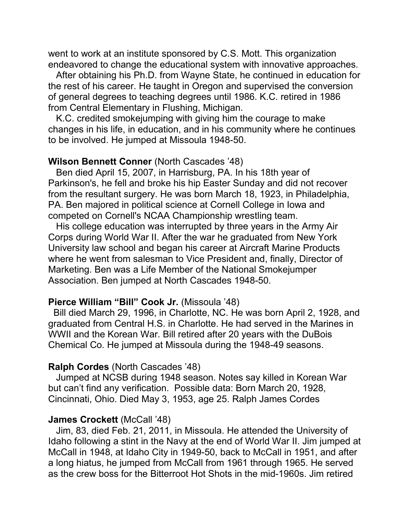went to work at an institute sponsored by C.S. Mott. This organization endeavored to change the educational system with innovative approaches.

 After obtaining his Ph.D. from Wayne State, he continued in education for the rest of his career. He taught in Oregon and supervised the conversion of general degrees to teaching degrees until 1986. K.C. retired in 1986 from Central Elementary in Flushing, Michigan.

 K.C. credited smokejumping with giving him the courage to make changes in his life, in education, and in his community where he continues to be involved. He jumped at Missoula 1948-50.

#### **Wilson Bennett Conner** (North Cascades '48)

 Ben died April 15, 2007, in Harrisburg, PA. In his 18th year of Parkinson's, he fell and broke his hip Easter Sunday and did not recover from the resultant surgery. He was born March 18, 1923, in Philadelphia, PA. Ben majored in political science at Cornell College in Iowa and competed on Cornell's NCAA Championship wrestling team.

 His college education was interrupted by three years in the Army Air Corps during World War II. After the war he graduated from New York University law school and began his career at Aircraft Marine Products where he went from salesman to Vice President and, finally, Director of Marketing. Ben was a Life Member of the National Smokejumper Association. Ben jumped at North Cascades 1948-50.

#### **Pierce William "Bill" Cook Jr.** (Missoula '48)

 Bill died March 29, 1996, in Charlotte, NC. He was born April 2, 1928, and graduated from Central H.S. in Charlotte. He had served in the Marines in WWII and the Korean War. Bill retired after 20 years with the DuBois Chemical Co. He jumped at Missoula during the 1948-49 seasons.

#### **Ralph Cordes** (North Cascades '48)

 Jumped at NCSB during 1948 season. Notes say killed in Korean War but can't find any verification. Possible data: Born March 20, 1928, Cincinnati, Ohio. Died May 3, 1953, age 25. Ralph James Cordes

#### **James Crockett** (McCall '48)

 Jim, 83, died Feb. 21, 2011, in Missoula. He attended the University of Idaho following a stint in the Navy at the end of World War II. Jim jumped at McCall in 1948, at Idaho City in 1949-50, back to McCall in 1951, and after a long hiatus, he jumped from McCall from 1961 through 1965. He served as the crew boss for the Bitterroot Hot Shots in the mid-1960s. Jim retired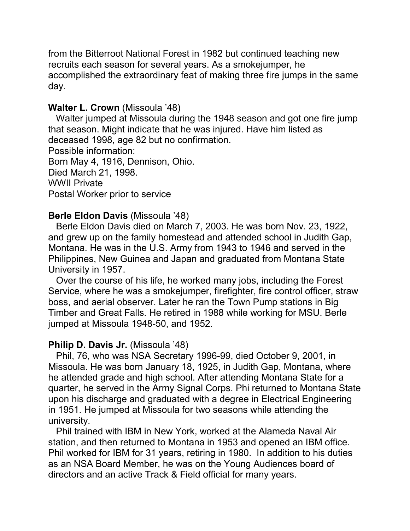from the Bitterroot National Forest in 1982 but continued teaching new recruits each season for several years. As a smokejumper, he accomplished the extraordinary feat of making three fire jumps in the same day.

# **Walter L. Crown** (Missoula '48)

 Walter jumped at Missoula during the 1948 season and got one fire jump that season. Might indicate that he was injured. Have him listed as deceased 1998, age 82 but no confirmation. Possible information:

Born May 4, 1916, Dennison, Ohio. Died March 21, 1998. WWII Private Postal Worker prior to service

# **Berle Eldon Davis** (Missoula '48)

 Berle Eldon Davis died on March 7, 2003. He was born Nov. 23, 1922, and grew up on the family homestead and attended school in Judith Gap, Montana. He was in the U.S. Army from 1943 to 1946 and served in the Philippines, New Guinea and Japan and graduated from Montana State University in 1957.

 Over the course of his life, he worked many jobs, including the Forest Service, where he was a smokejumper, firefighter, fire control officer, straw boss, and aerial observer. Later he ran the Town Pump stations in Big Timber and Great Falls. He retired in 1988 while working for MSU. Berle jumped at Missoula 1948-50, and 1952.

# **Philip D. Davis Jr.** (Missoula '48)

 Phil, 76, who was NSA Secretary 1996-99, died October 9, 2001, in Missoula. He was born January 18, 1925, in Judith Gap, Montana, where he attended grade and high school. After attending Montana State for a quarter, he served in the Army Signal Corps. Phi returned to Montana State upon his discharge and graduated with a degree in Electrical Engineering in 1951. He jumped at Missoula for two seasons while attending the university.

 Phil trained with IBM in New York, worked at the Alameda Naval Air station, and then returned to Montana in 1953 and opened an IBM office. Phil worked for IBM for 31 years, retiring in 1980. In addition to his duties as an NSA Board Member, he was on the Young Audiences board of directors and an active Track & Field official for many years.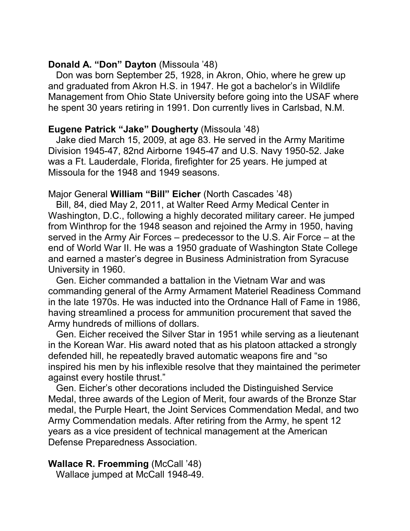# **Donald A. "Don" Dayton** (Missoula '48)

 Don was born September 25, 1928, in Akron, Ohio, where he grew up and graduated from Akron H.S. in 1947. He got a bachelor's in Wildlife Management from Ohio State University before going into the USAF where he spent 30 years retiring in 1991. Don currently lives in Carlsbad, N.M.

# **Eugene Patrick "Jake" Dougherty** (Missoula '48)

 Jake died March 15, 2009, at age 83. He served in the Army Maritime Division 1945-47, 82nd Airborne 1945-47 and U.S. Navy 1950-52. Jake was a Ft. Lauderdale, Florida, firefighter for 25 years. He jumped at Missoula for the 1948 and 1949 seasons.

# Major General **William "Bill" Eicher** (North Cascades '48)

 Bill, 84, died May 2, 2011, at Walter Reed Army Medical Center in Washington, D.C., following a highly decorated military career. He jumped from Winthrop for the 1948 season and rejoined the Army in 1950, having served in the Army Air Forces – predecessor to the U.S. Air Force – at the end of World War II. He was a 1950 graduate of Washington State College and earned a master's degree in Business Administration from Syracuse University in 1960.

 Gen. Eicher commanded a battalion in the Vietnam War and was commanding general of the Army Armament Materiel Readiness Command in the late 1970s. He was inducted into the Ordnance Hall of Fame in 1986, having streamlined a process for ammunition procurement that saved the Army hundreds of millions of dollars.

 Gen. Eicher received the Silver Star in 1951 while serving as a lieutenant in the Korean War. His award noted that as his platoon attacked a strongly defended hill, he repeatedly braved automatic weapons fire and "so inspired his men by his inflexible resolve that they maintained the perimeter against every hostile thrust."

 Gen. Eicher's other decorations included the Distinguished Service Medal, three awards of the Legion of Merit, four awards of the Bronze Star medal, the Purple Heart, the Joint Services Commendation Medal, and two Army Commendation medals. After retiring from the Army, he spent 12 years as a vice president of technical management at the American Defense Preparedness Association.

# **Wallace R. Froemming** (McCall '48)

Wallace jumped at McCall 1948-49.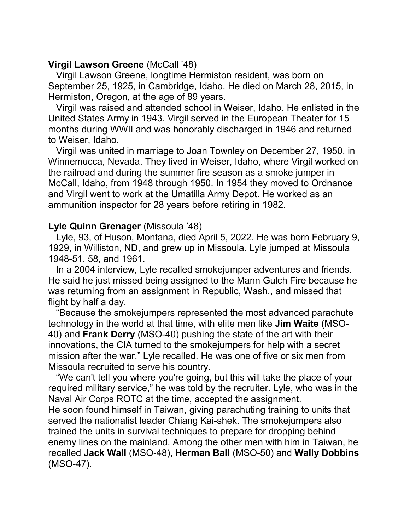# **Virgil Lawson Greene** (McCall '48)

 Virgil Lawson Greene, longtime Hermiston resident, was born on September 25, 1925, in Cambridge, Idaho. He died on March 28, 2015, in Hermiston, Oregon, at the age of 89 years.

 Virgil was raised and attended school in Weiser, Idaho. He enlisted in the United States Army in 1943. Virgil served in the European Theater for 15 months during WWII and was honorably discharged in 1946 and returned to Weiser, Idaho.

 Virgil was united in marriage to Joan Townley on December 27, 1950, in Winnemucca, Nevada. They lived in Weiser, Idaho, where Virgil worked on the railroad and during the summer fire season as a smoke jumper in McCall, Idaho, from 1948 through 1950. In 1954 they moved to Ordnance and Virgil went to work at the Umatilla Army Depot. He worked as an ammunition inspector for 28 years before retiring in 1982.

# **Lyle Quinn Grenager** (Missoula '48)

 Lyle, 93, of Huson, Montana, died April 5, 2022. He was born February 9, 1929, in Williston, ND, and grew up in Missoula. Lyle jumped at Missoula 1948-51, 58, and 1961.

 In a 2004 interview, Lyle recalled smokejumper adventures and friends. He said he just missed being assigned to the Mann Gulch Fire because he was returning from an assignment in Republic, Wash., and missed that flight by half a day.

 "Because the smokejumpers represented the most advanced parachute technology in the world at that time, with elite men like **Jim Waite** (MSO-40) and **Frank Derry** (MSO-40) pushing the state of the art with their innovations, the CIA turned to the smokejumpers for help with a secret mission after the war," Lyle recalled. He was one of five or six men from Missoula recruited to serve his country.

 "We can't tell you where you're going, but this will take the place of your required military service," he was told by the recruiter. Lyle, who was in the Naval Air Corps ROTC at the time, accepted the assignment.

He soon found himself in Taiwan, giving parachuting training to units that served the nationalist leader Chiang Kai-shek. The smokejumpers also trained the units in survival techniques to prepare for dropping behind enemy lines on the mainland. Among the other men with him in Taiwan, he recalled **Jack Wall** (MSO-48), **Herman Ball** (MSO-50) and **Wally Dobbins** (MSO-47).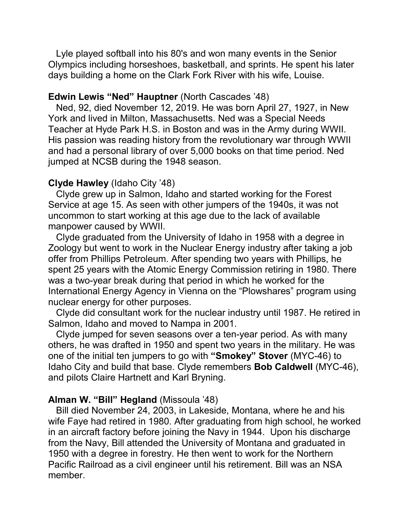Lyle played softball into his 80's and won many events in the Senior Olympics including horseshoes, basketball, and sprints. He spent his later days building a home on the Clark Fork River with his wife, Louise.

#### **Edwin Lewis "Ned" Hauptner** (North Cascades '48)

 Ned, 92, died November 12, 2019. He was born April 27, 1927, in New York and lived in Milton, Massachusetts. Ned was a Special Needs Teacher at Hyde Park H.S. in Boston and was in the Army during WWII. His passion was reading history from the revolutionary war through WWII and had a personal library of over 5,000 books on that time period. Ned jumped at NCSB during the 1948 season.

#### **Clyde Hawley** (Idaho City '48)

 Clyde grew up in Salmon, Idaho and started working for the Forest Service at age 15. As seen with other jumpers of the 1940s, it was not uncommon to start working at this age due to the lack of available manpower caused by WWII.

 Clyde graduated from the University of Idaho in 1958 with a degree in Zoology but went to work in the Nuclear Energy industry after taking a job offer from Phillips Petroleum. After spending two years with Phillips, he spent 25 years with the Atomic Energy Commission retiring in 1980. There was a two-year break during that period in which he worked for the International Energy Agency in Vienna on the "Plowshares" program using nuclear energy for other purposes.

 Clyde did consultant work for the nuclear industry until 1987. He retired in Salmon, Idaho and moved to Nampa in 2001.

 Clyde jumped for seven seasons over a ten-year period. As with many others, he was drafted in 1950 and spent two years in the military. He was one of the initial ten jumpers to go with **"Smokey" Stover** (MYC-46) to Idaho City and build that base. Clyde remembers **Bob Caldwell** (MYC-46), and pilots Claire Hartnett and Karl Bryning.

### **Alman W. "Bill" Hegland** (Missoula '48)

 Bill died November 24, 2003, in Lakeside, Montana, where he and his wife Faye had retired in 1980. After graduating from high school, he worked in an aircraft factory before joining the Navy in 1944. Upon his discharge from the Navy, Bill attended the University of Montana and graduated in 1950 with a degree in forestry. He then went to work for the Northern Pacific Railroad as a civil engineer until his retirement. Bill was an NSA member.